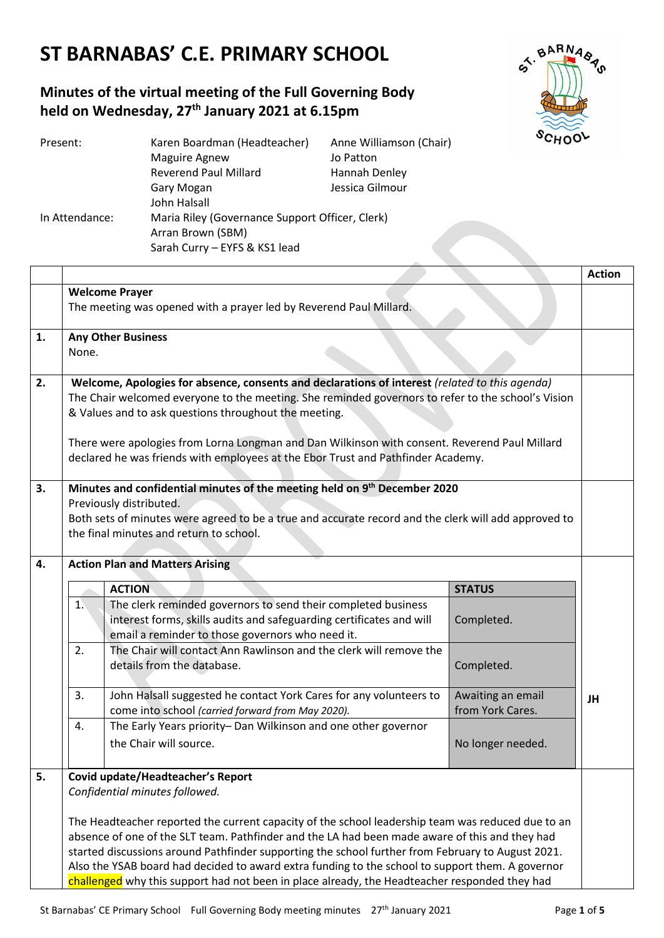# **ST BARNABAS' C.E. PRIMARY SCHOOL**

## **Minutes of the virtual meeting of the Full Governing Body held on Wednesday, 27th January 2021 at 6.15pm**



| Present:       | Karen Boardman (Headteacher)                    | Anne Williamson (Chair) |  |
|----------------|-------------------------------------------------|-------------------------|--|
|                | <b>Maguire Agnew</b>                            | Jo Patton               |  |
|                | <b>Reverend Paul Millard</b>                    | Hannah Denley           |  |
|                | Gary Mogan                                      | Jessica Gilmour         |  |
|                | John Halsall                                    |                         |  |
| In Attendance: | Maria Riley (Governance Support Officer, Clerk) |                         |  |
|                | Arran Brown (SBM)                               |                         |  |
|                | Sarah Curry - EYFS & KS1 lead                   |                         |  |

|    |                                                                                                    |                                                                                                                          |                                       | <b>Action</b> |
|----|----------------------------------------------------------------------------------------------------|--------------------------------------------------------------------------------------------------------------------------|---------------------------------------|---------------|
|    | <b>Welcome Prayer</b>                                                                              |                                                                                                                          |                                       |               |
|    | The meeting was opened with a prayer led by Reverend Paul Millard.                                 |                                                                                                                          |                                       |               |
| 1. | <b>Any Other Business</b>                                                                          |                                                                                                                          |                                       |               |
|    | None.                                                                                              |                                                                                                                          |                                       |               |
| 2. | Welcome, Apologies for absence, consents and declarations of interest (related to this agenda)     |                                                                                                                          |                                       |               |
|    | The Chair welcomed everyone to the meeting. She reminded governors to refer to the school's Vision |                                                                                                                          |                                       |               |
|    |                                                                                                    | & Values and to ask questions throughout the meeting.                                                                    |                                       |               |
|    |                                                                                                    | There were apologies from Lorna Longman and Dan Wilkinson with consent. Reverend Paul Millard                            |                                       |               |
|    |                                                                                                    | declared he was friends with employees at the Ebor Trust and Pathfinder Academy.                                         |                                       |               |
|    |                                                                                                    |                                                                                                                          |                                       |               |
| 3. |                                                                                                    | Minutes and confidential minutes of the meeting held on 9th December 2020<br>Previously distributed.                     |                                       |               |
|    |                                                                                                    | Both sets of minutes were agreed to be a true and accurate record and the clerk will add approved to                     |                                       |               |
|    | the final minutes and return to school.                                                            |                                                                                                                          |                                       |               |
|    |                                                                                                    |                                                                                                                          |                                       |               |
| 4. |                                                                                                    | <b>Action Plan and Matters Arising</b>                                                                                   |                                       |               |
|    |                                                                                                    | <b>ACTION</b>                                                                                                            | <b>STATUS</b>                         |               |
|    | 1.                                                                                                 | The clerk reminded governors to send their completed business                                                            |                                       |               |
|    |                                                                                                    | interest forms, skills audits and safeguarding certificates and will<br>email a reminder to those governors who need it. | Completed.                            |               |
|    | 2.                                                                                                 | The Chair will contact Ann Rawlinson and the clerk will remove the                                                       |                                       |               |
|    |                                                                                                    | details from the database.                                                                                               | Completed.                            |               |
|    |                                                                                                    |                                                                                                                          |                                       |               |
|    | 3.                                                                                                 | John Halsall suggested he contact York Cares for any volunteers to<br>come into school (carried forward from May 2020).  | Awaiting an email<br>from York Cares. | JH            |
|    | 4.                                                                                                 | The Early Years priority- Dan Wilkinson and one other governor                                                           |                                       |               |
|    |                                                                                                    | the Chair will source.                                                                                                   | No longer needed.                     |               |
|    |                                                                                                    |                                                                                                                          |                                       |               |
| 5. |                                                                                                    | Covid update/Headteacher's Report                                                                                        |                                       |               |
|    | Confidential minutes followed.                                                                     |                                                                                                                          |                                       |               |
|    |                                                                                                    | The Headteacher reported the current capacity of the school leadership team was reduced due to an                        |                                       |               |
|    | absence of one of the SLT team. Pathfinder and the LA had been made aware of this and they had     |                                                                                                                          |                                       |               |
|    | started discussions around Pathfinder supporting the school further from February to August 2021.  |                                                                                                                          |                                       |               |
|    | Also the YSAB board had decided to award extra funding to the school to support them. A governor   |                                                                                                                          |                                       |               |
|    |                                                                                                    | challenged why this support had not been in place already, the Headteacher responded they had                            |                                       |               |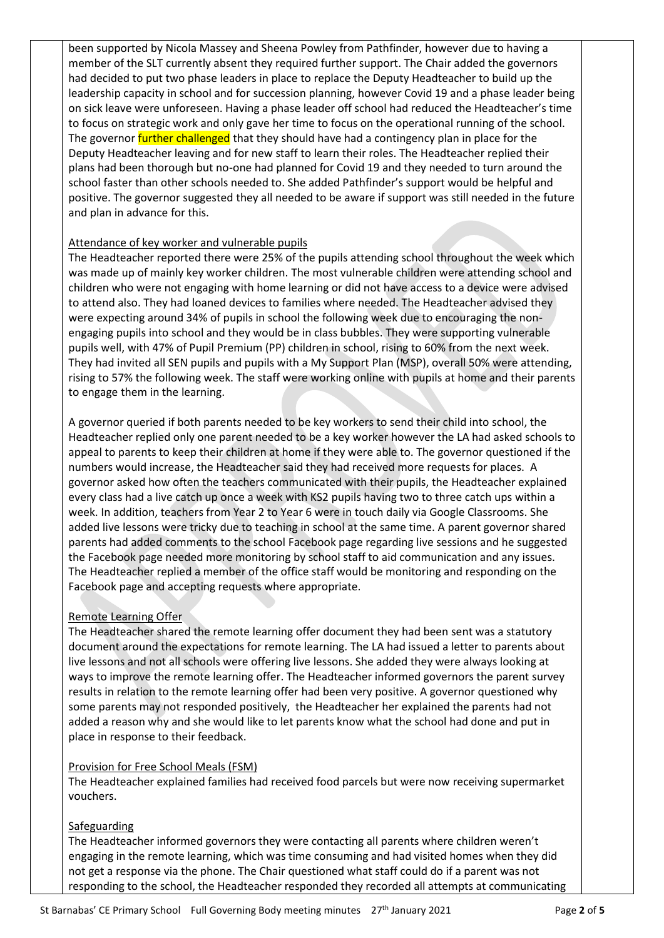been supported by Nicola Massey and Sheena Powley from Pathfinder, however due to having a member of the SLT currently absent they required further support. The Chair added the governors had decided to put two phase leaders in place to replace the Deputy Headteacher to build up the leadership capacity in school and for succession planning, however Covid 19 and a phase leader being on sick leave were unforeseen. Having a phase leader off school had reduced the Headteacher's time to focus on strategic work and only gave her time to focus on the operational running of the school. The governor *further challenged* that they should have had a contingency plan in place for the Deputy Headteacher leaving and for new staff to learn their roles. The Headteacher replied their plans had been thorough but no-one had planned for Covid 19 and they needed to turn around the school faster than other schools needed to. She added Pathfinder's support would be helpful and positive. The governor suggested they all needed to be aware if support was still needed in the future and plan in advance for this.

#### Attendance of key worker and vulnerable pupils

The Headteacher reported there were 25% of the pupils attending school throughout the week which was made up of mainly key worker children. The most vulnerable children were attending school and children who were not engaging with home learning or did not have access to a device were advised to attend also. They had loaned devices to families where needed. The Headteacher advised they were expecting around 34% of pupils in school the following week due to encouraging the nonengaging pupils into school and they would be in class bubbles. They were supporting vulnerable pupils well, with 47% of Pupil Premium (PP) children in school, rising to 60% from the next week. They had invited all SEN pupils and pupils with a My Support Plan (MSP), overall 50% were attending, rising to 57% the following week. The staff were working online with pupils at home and their parents to engage them in the learning.

A governor queried if both parents needed to be key workers to send their child into school, the Headteacher replied only one parent needed to be a key worker however the LA had asked schools to appeal to parents to keep their children at home if they were able to. The governor questioned if the numbers would increase, the Headteacher said they had received more requests for places. A governor asked how often the teachers communicated with their pupils, the Headteacher explained every class had a live catch up once a week with KS2 pupils having two to three catch ups within a week. In addition, teachers from Year 2 to Year 6 were in touch daily via Google Classrooms. She added live lessons were tricky due to teaching in school at the same time. A parent governor shared parents had added comments to the school Facebook page regarding live sessions and he suggested the Facebook page needed more monitoring by school staff to aid communication and any issues. The Headteacher replied a member of the office staff would be monitoring and responding on the Facebook page and accepting requests where appropriate.

#### Remote Learning Offer

The Headteacher shared the remote learning offer document they had been sent was a statutory document around the expectations for remote learning. The LA had issued a letter to parents about live lessons and not all schools were offering live lessons. She added they were always looking at ways to improve the remote learning offer. The Headteacher informed governors the parent survey results in relation to the remote learning offer had been very positive. A governor questioned why some parents may not responded positively, the Headteacher her explained the parents had not added a reason why and she would like to let parents know what the school had done and put in place in response to their feedback.

#### Provision for Free School Meals (FSM)

The Headteacher explained families had received food parcels but were now receiving supermarket vouchers.

#### Safeguarding

The Headteacher informed governors they were contacting all parents where children weren't engaging in the remote learning, which was time consuming and had visited homes when they did not get a response via the phone. The Chair questioned what staff could do if a parent was not responding to the school, the Headteacher responded they recorded all attempts at communicating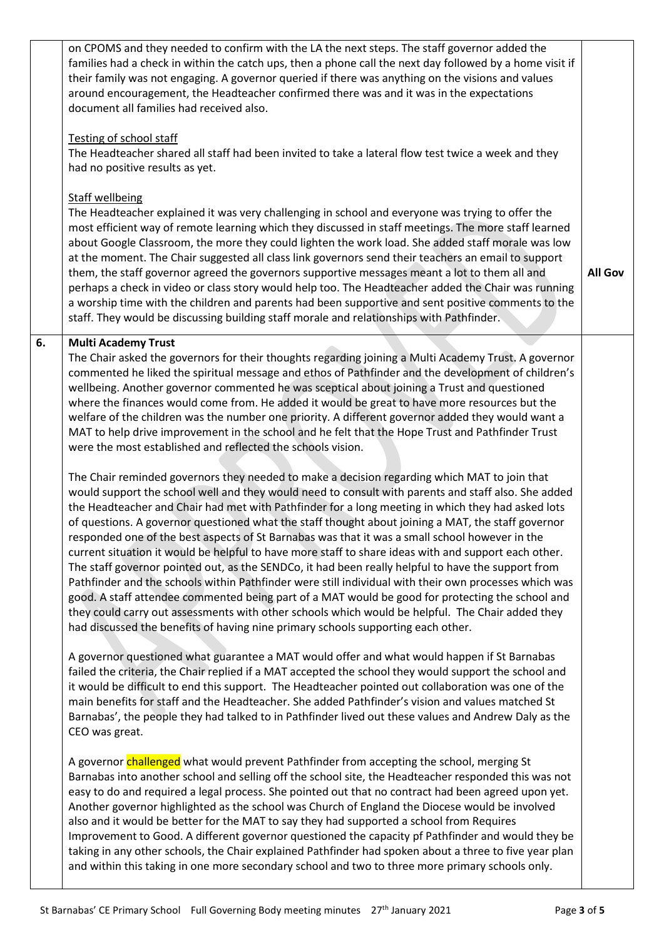|    | on CPOMS and they needed to confirm with the LA the next steps. The staff governor added the<br>families had a check in within the catch ups, then a phone call the next day followed by a home visit if<br>their family was not engaging. A governor queried if there was anything on the visions and values<br>around encouragement, the Headteacher confirmed there was and it was in the expectations<br>document all families had received also.<br>Testing of school staff<br>The Headteacher shared all staff had been invited to take a lateral flow test twice a week and they<br>had no positive results as yet.                                                                                                                                                                                                                                                                                                                                                                                                                                                                                                                                                                                                                                                                                                                                                                                                                                                                                                                                                                                                                                                                                                                                          |                |
|----|---------------------------------------------------------------------------------------------------------------------------------------------------------------------------------------------------------------------------------------------------------------------------------------------------------------------------------------------------------------------------------------------------------------------------------------------------------------------------------------------------------------------------------------------------------------------------------------------------------------------------------------------------------------------------------------------------------------------------------------------------------------------------------------------------------------------------------------------------------------------------------------------------------------------------------------------------------------------------------------------------------------------------------------------------------------------------------------------------------------------------------------------------------------------------------------------------------------------------------------------------------------------------------------------------------------------------------------------------------------------------------------------------------------------------------------------------------------------------------------------------------------------------------------------------------------------------------------------------------------------------------------------------------------------------------------------------------------------------------------------------------------------|----------------|
|    | <b>Staff wellbeing</b><br>The Headteacher explained it was very challenging in school and everyone was trying to offer the<br>most efficient way of remote learning which they discussed in staff meetings. The more staff learned<br>about Google Classroom, the more they could lighten the work load. She added staff morale was low<br>at the moment. The Chair suggested all class link governors send their teachers an email to support<br>them, the staff governor agreed the governors supportive messages meant a lot to them all and<br>perhaps a check in video or class story would help too. The Headteacher added the Chair was running<br>a worship time with the children and parents had been supportive and sent positive comments to the<br>staff. They would be discussing building staff morale and relationships with Pathfinder.                                                                                                                                                                                                                                                                                                                                                                                                                                                                                                                                                                                                                                                                                                                                                                                                                                                                                                            | <b>All Gov</b> |
| 6. | <b>Multi Academy Trust</b><br>The Chair asked the governors for their thoughts regarding joining a Multi Academy Trust. A governor<br>commented he liked the spiritual message and ethos of Pathfinder and the development of children's<br>wellbeing. Another governor commented he was sceptical about joining a Trust and questioned<br>where the finances would come from. He added it would be great to have more resources but the<br>welfare of the children was the number one priority. A different governor added they would want a<br>MAT to help drive improvement in the school and he felt that the Hope Trust and Pathfinder Trust<br>were the most established and reflected the schools vision.<br>The Chair reminded governors they needed to make a decision regarding which MAT to join that<br>would support the school well and they would need to consult with parents and staff also. She added<br>the Headteacher and Chair had met with Pathfinder for a long meeting in which they had asked lots<br>of questions. A governor questioned what the staff thought about joining a MAT, the staff governor<br>responded one of the best aspects of St Barnabas was that it was a small school however in the<br>current situation it would be helpful to have more staff to share ideas with and support each other.<br>The staff governor pointed out, as the SENDCo, it had been really helpful to have the support from<br>Pathfinder and the schools within Pathfinder were still individual with their own processes which was<br>good. A staff attendee commented being part of a MAT would be good for protecting the school and<br>they could carry out assessments with other schools which would be helpful. The Chair added they |                |
|    | had discussed the benefits of having nine primary schools supporting each other.<br>A governor questioned what guarantee a MAT would offer and what would happen if St Barnabas<br>failed the criteria, the Chair replied if a MAT accepted the school they would support the school and<br>it would be difficult to end this support. The Headteacher pointed out collaboration was one of the<br>main benefits for staff and the Headteacher. She added Pathfinder's vision and values matched St<br>Barnabas', the people they had talked to in Pathfinder lived out these values and Andrew Daly as the<br>CEO was great.                                                                                                                                                                                                                                                                                                                                                                                                                                                                                                                                                                                                                                                                                                                                                                                                                                                                                                                                                                                                                                                                                                                                       |                |
|    | A governor challenged what would prevent Pathfinder from accepting the school, merging St<br>Barnabas into another school and selling off the school site, the Headteacher responded this was not<br>easy to do and required a legal process. She pointed out that no contract had been agreed upon yet.<br>Another governor highlighted as the school was Church of England the Diocese would be involved<br>also and it would be better for the MAT to say they had supported a school from Requires<br>Improvement to Good. A different governor questioned the capacity pf Pathfinder and would they be<br>taking in any other schools, the Chair explained Pathfinder had spoken about a three to five year plan<br>and within this taking in one more secondary school and two to three more primary schools only.                                                                                                                                                                                                                                                                                                                                                                                                                                                                                                                                                                                                                                                                                                                                                                                                                                                                                                                                            |                |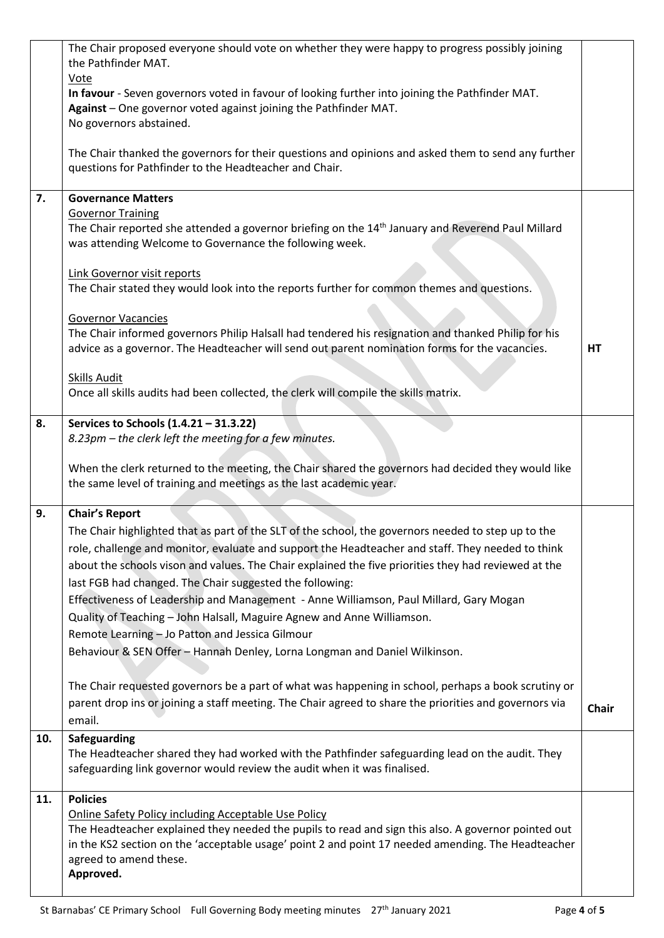|     | The Chair proposed everyone should vote on whether they were happy to progress possibly joining                                                                          |              |
|-----|--------------------------------------------------------------------------------------------------------------------------------------------------------------------------|--------------|
|     | the Pathfinder MAT.<br>Vote                                                                                                                                              |              |
|     | In favour - Seven governors voted in favour of looking further into joining the Pathfinder MAT.                                                                          |              |
|     | Against - One governor voted against joining the Pathfinder MAT.                                                                                                         |              |
|     | No governors abstained.                                                                                                                                                  |              |
|     | The Chair thanked the governors for their questions and opinions and asked them to send any further<br>questions for Pathfinder to the Headteacher and Chair.            |              |
| 7.  | <b>Governance Matters</b>                                                                                                                                                |              |
|     | <b>Governor Training</b>                                                                                                                                                 |              |
|     | The Chair reported she attended a governor briefing on the 14 <sup>th</sup> January and Reverend Paul Millard<br>was attending Welcome to Governance the following week. |              |
|     |                                                                                                                                                                          |              |
|     | Link Governor visit reports                                                                                                                                              |              |
|     | The Chair stated they would look into the reports further for common themes and questions.                                                                               |              |
|     | <b>Governor Vacancies</b>                                                                                                                                                |              |
|     | The Chair informed governors Philip Halsall had tendered his resignation and thanked Philip for his                                                                      |              |
|     | advice as a governor. The Headteacher will send out parent nomination forms for the vacancies.                                                                           | HT           |
|     | <b>Skills Audit</b>                                                                                                                                                      |              |
|     | Once all skills audits had been collected, the clerk will compile the skills matrix.                                                                                     |              |
|     |                                                                                                                                                                          |              |
| 8.  | Services to Schools (1.4.21 - 31.3.22)<br>8.23pm - the clerk left the meeting for a few minutes.                                                                         |              |
|     |                                                                                                                                                                          |              |
|     | When the clerk returned to the meeting, the Chair shared the governors had decided they would like                                                                       |              |
|     | the same level of training and meetings as the last academic year.                                                                                                       |              |
| 9.  | <b>Chair's Report</b>                                                                                                                                                    |              |
|     | The Chair highlighted that as part of the SLT of the school, the governors needed to step up to the                                                                      |              |
|     | role, challenge and monitor, evaluate and support the Headteacher and staff. They needed to think                                                                        |              |
|     | about the schools vison and values. The Chair explained the five priorities they had reviewed at the                                                                     |              |
|     | last FGB had changed. The Chair suggested the following:                                                                                                                 |              |
|     | Effectiveness of Leadership and Management - Anne Williamson, Paul Millard, Gary Mogan                                                                                   |              |
|     | Quality of Teaching - John Halsall, Maguire Agnew and Anne Williamson.                                                                                                   |              |
|     | Remote Learning - Jo Patton and Jessica Gilmour                                                                                                                          |              |
|     | Behaviour & SEN Offer - Hannah Denley, Lorna Longman and Daniel Wilkinson.                                                                                               |              |
|     |                                                                                                                                                                          |              |
|     | The Chair requested governors be a part of what was happening in school, perhaps a book scrutiny or                                                                      |              |
|     | parent drop ins or joining a staff meeting. The Chair agreed to share the priorities and governors via                                                                   | <b>Chair</b> |
|     | email.                                                                                                                                                                   |              |
| 10. | Safeguarding                                                                                                                                                             |              |
|     | The Headteacher shared they had worked with the Pathfinder safeguarding lead on the audit. They                                                                          |              |
|     | safeguarding link governor would review the audit when it was finalised.                                                                                                 |              |
| 11. | <b>Policies</b>                                                                                                                                                          |              |
|     | <b>Online Safety Policy including Acceptable Use Policy</b>                                                                                                              |              |
|     | The Headteacher explained they needed the pupils to read and sign this also. A governor pointed out                                                                      |              |
|     | in the KS2 section on the 'acceptable usage' point 2 and point 17 needed amending. The Headteacher<br>agreed to amend these.                                             |              |
|     | Approved.                                                                                                                                                                |              |
|     |                                                                                                                                                                          |              |